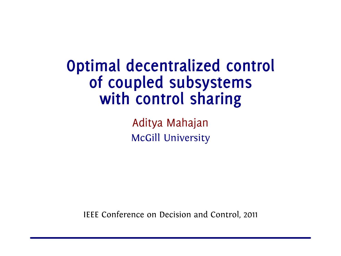**Optimal decentralized control of coupled subsystems with control sharing**

> Aditya Mahajan McGill University

IEEE Conference on Decision and Control, 2011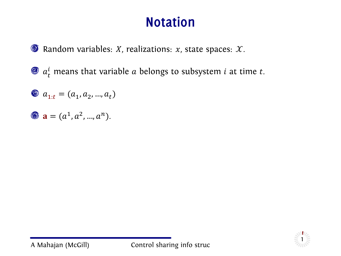### **Notation**

**O** Random variables: *X*, realizations: *x*, state spaces: *X*.

 $a_t^l$  means that variable  $a$  belongs to subsystem  $i$  at time  $t$ .

$$
\textcircled{\tiny{\textcircled{\tiny 2}}$ a_{1:t}=(a_{1},a_{2},...,a_{t})}
$$

$$
a = (a^1, a^2, ..., a^n).
$$

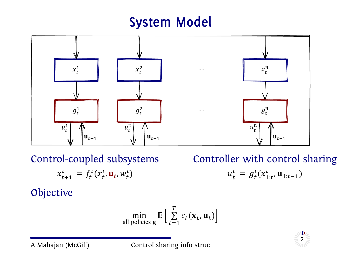### **System Model**



Control-coupled subsystems Controller with control sharing  $x_{t+1}^l = f_t^l(x_t^l, \mathbf{u}_t, w_t^l)$ 

 $\begin{array}{ccc} \n u_t^i \n \end{array}$  $\mathbf{y}_t^l = g_t^l(x_{1:t}^l, \mathbf{u}_{1:t-1})$ 

Objective

$$
\min_{\text{all policies } \mathbf{g}} \mathbb{E} \left[ \sum_{t=1}^{T} c_t(\mathbf{x}_t, \mathbf{u}_t) \right]
$$



A Mahajan (McGill) Control sharing info struc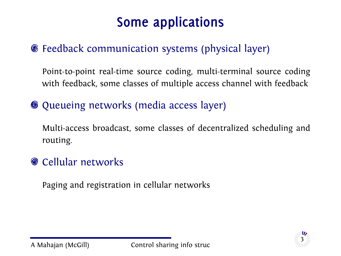# **Some applications**

#### Feedback communication systems (physical layer)

Point-to-point real-time source coding, multi-terminal source coding with feedback, some classes of multiple access channel with feedback

Queueing networks (media access layer)

Multi-access broadcast, some classes of decentralized scheduling and routing.

#### **Cellular networks**

Paging and registration in cellular networks

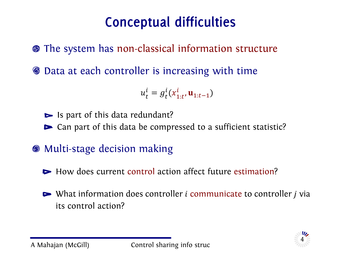# **Conceptual difficulties**

The system has non-classical information structure

Data at each controller is increasing with time

$$
u_t^i = g_t^i(x_{1:t}^i, \mathbf{u}_{1:t-1})
$$

 $\blacktriangleright$  Is part of this data redundant?

Can part of this data be compressed to a sufficient statistic?

Multi-stage decision making

 $\blacktriangleright$  How does current control action affect future estimation?

 $\triangleright$  What information does controller *i* communicate to controller *j* via its control action?

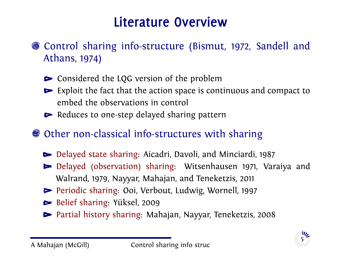### **Literature Overview**

- Control sharing info-structure (Bismut, 1972, Sandell and Athans, 1974)
	- **►** Considered the LQG version of the problem
	- Exploit the fact that the action space is continuous and compact to embed the observations in control
	- $\blacktriangleright$  Reduces to one-step delayed sharing pattern

#### Other non-classical info-structures with sharing

- Delayed state sharing: Aicadri, Davoli, and Minciardi, 1987
- Delayed (observation) sharing: Witsenhausen 1971, Varaiya and Walrand, 1979, Nayyar, Mahajan, and Teneketzis, 2011
- Periodic sharing: Ooi, Verbout, Ludwig, Wornell, 1997
- Belief sharing: Yüksel, 2009
- Partial history sharing: Mahajan, Nayyar, Teneketzis, 2008

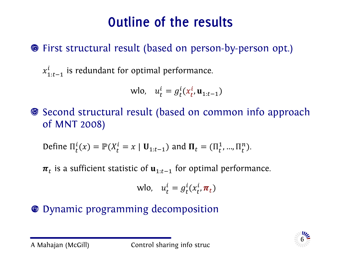# **Outline of the results**

#### First structural result (based on person-by-person opt.)

 $x_{1:t-1}^{l}$  is redundant for optimal performance.

$$
\text{wlo}, \quad u_t^i = g_t^i(x_t^i, \mathbf{u}_{1:t-1})
$$

Second structural result (based on common info approach of MNT 2008)

Define 
$$
\Pi_t^i(x) = \mathbb{P}(X_t^i = x | \mathbf{U}_{1:t-1})
$$
 and  $\mathbf{\Pi}_t = (\Pi_t^1, ..., \Pi_t^n)$ .

 $\boldsymbol{\pi} _t$  is a sufficient statistic of  $\textbf{u} _{1:t-1}$  for optimal performance.

$$
wlo, u_t^i = g_t^i(x_t^i, \pi_t)
$$

#### Dynamic programming decomposition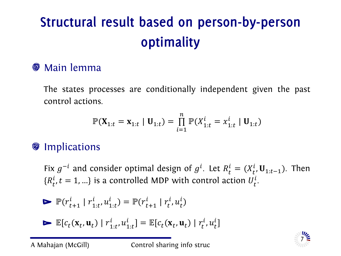# **Structural result based on person-by-person optimality**

#### **S** Main lemma

The states processes are conditionally independent given the past control actions.

$$
\mathbb{P}(\mathbf{X}_{1:t} = \mathbf{x}_{1:t} | \mathbf{U}_{1:t}) = \prod_{i=1}^{n} \mathbb{P}(X_{1:t}^{i} = x_{1:t}^{i} | \mathbf{U}_{1:t})
$$

#### **Implications**

Fix  $g^{-i}$  and consider optimal design of  $g^{i}$ . Let  $R_{t}^{i} = (X_{t}^{i}, \mathbf{U}_{1:t-1})$ . Then  $\{R^{\iota}_{t'}; t = 1, ...\}$  is a controlled MDP with control action  $U^{l}_{t}$ .

$$
\triangleright \mathbb{P}(r_{t+1}^i \mid r_{1:t}^i, u_{1:t}^i) = \mathbb{P}(r_{t+1}^i \mid r_t^i, u_t^i)
$$

$$
\blacktriangleright \mathbb{E}[c_t(\mathbf{x}_t, \mathbf{u}_t) | r_{1:t}^i, u_{1:t}^i] = \mathbb{E}[c_t(\mathbf{x}_t, \mathbf{u}_t) | r_t^i, u_t^i]
$$

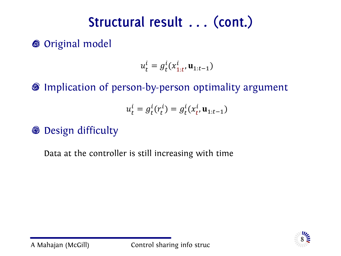# **Structural result . . . (cont.)**

**S** Original model

$$
u_t^i = g_t^i(x_{1:t}^i, \mathbf{u}_{1:t-1})
$$

Implication of person-by-person optimality argument

$$
u_t^i = g_t^i(r_t^i) = g_t^i(x_t^i, \mathbf{u}_{1:t-1})
$$

**<sup>©</sup>** Design difficulty

Data at the controller is still increasing with time

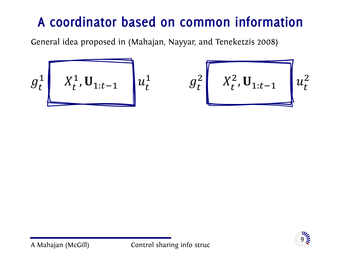# **A coordinator based on common information**

General idea proposed in (Mahajan, Nayyar, and Teneketzis 2008)

$$
g_t^1
$$
  $X_t^1$ ,  $U_{1:t-1}$   $u_t^1$   $g_t^2$   $X_t^2$ ,  $U_{1:t-1}$   $u_t^2$ 

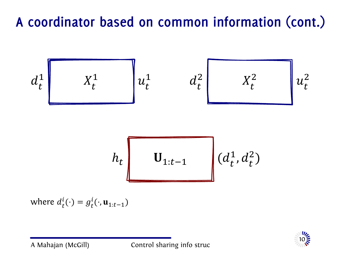# **A coordinator based on common information (cont.)**

$$
d_t^1
$$
  

$$
d_t^1
$$
  

$$
h_t
$$
  

$$
u_{1:t-1}^1
$$
  

$$
d_t^2
$$
  

$$
d_t^2
$$
  

$$
d_t^2
$$
  

$$
d_t^2
$$
  

$$
d_t^2
$$
  

$$
d_t^2
$$
  

$$
d_t^2
$$
  

$$
d_t^2
$$
  

$$
d_t^2
$$
  

$$
d_t^2
$$
  

$$
d_t^2
$$
  

$$
u_t^2
$$
  

$$
u_t^2
$$
  

$$
u_t^2
$$
  

$$
u_t^2
$$
  

$$
u_t^2
$$
  

$$
u_{1:t-1}^1
$$
  

$$
u_{1:t-1}^1
$$
  

$$
u_{1:t-1}^1
$$
  

$$
u_{1:t-1}^1
$$
  

$$
u_{1:t-1}^1
$$
  

$$
u_{1:t-1}^1
$$
  

$$
u_{1:t-1}^1
$$
  

$$
u_{1:t-1}^1
$$
  

$$
u_{1:t-1}^1
$$

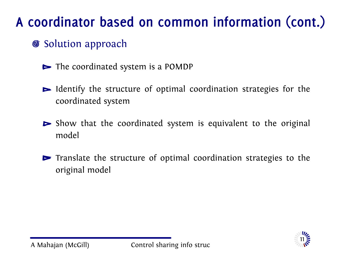# **A coordinator based on common information (cont.)**

- **Solution approach** 
	- $\blacktriangleright$  The coordinated system is a POMDP
	- Identify the structure of optimal coordination strategies for the coordinated system
	- $\triangleright$  Show that the coordinated system is equivalent to the original model
	- $\triangleright$  Translate the structure of optimal coordination strategies to the original model

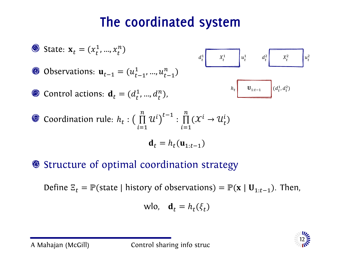### **The coordinated system**

\n- \n
$$
\bullet
$$
 State:  $\mathbf{x}_t = (x_t^1, ..., x_t^n)$ \n
\n- \n $\bullet$  Observations:  $\mathbf{u}_{t-1} = (u_{t-1}^1, ..., u_{t-1}^n)$ \n
\n- \n $\bullet$  Control actions:  $\mathbf{d}_t = (d_t^1, ..., d_t^n)$ ,\n
\n- \n $\bullet$  Conditional conditions:  $\mathbf{d}_t = (d_t^1, ..., d_t^n)$ ,\n
\n- \n $\bullet$  coordination rule:  $h_t : \left( \prod_{i=1}^n u^i \right)^{t-1} : \prod_{i=1}^n (X^i \to U_t^i)$ \n
\n- \n $\mathbf{d}_t = h_t(\mathbf{u}_{1:t-1})$ \n
\n

Structure of optimal coordination strategy

Define  $\mathbb{E}_t = \mathbb{P}(\text{state} \mid \text{history of observations}) = \mathbb{P}(\mathbf{x} \mid \mathbf{U}_{1:t-1})$ . Then,

$$
wlo, \quad \mathbf{d}_t = h_t(\xi_t)
$$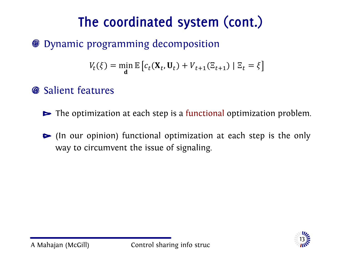# **The coordinated system (cont.)**

#### Dynamic programming decomposition

$$
V_t(\xi) = \min_{\mathbf{d}} \mathbb{E}\left[c_t(\mathbf{X}_t, \mathbf{U}_t) + V_{t+1}(\Xi_{t+1}) \mid \Xi_t = \xi\right]
$$

#### **Salient features**

- $\blacktriangleright$  The optimization at each step is a functional optimization problem.
- (In our opinion) functional optimization at each step is the only way to circumvent the issue of signaling.

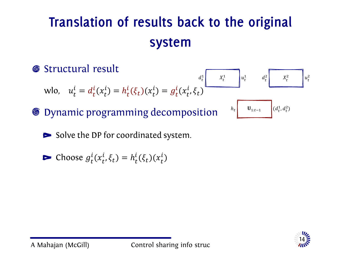# **Translation of results back to the original system**



 $\triangleright$  Solve the DP for coordinated system.

$$
\blacktriangleright \text{Choose } g_t^i(x_t^i, \xi_t) = h_t^i(\xi_t)(x_t^i)
$$

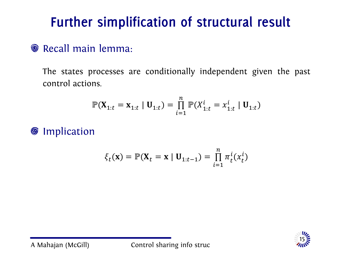# **Further simplification of structural result**

#### **Recall main lemma:**

The states processes are conditionally independent given the past control actions.

$$
\mathbb{P}(\mathbf{X}_{1:t} = \mathbf{x}_{1:t} | \mathbf{U}_{1:t}) = \prod_{i=1}^{n} \mathbb{P}(X_{1:t}^{i} = x_{1:t}^{i} | \mathbf{U}_{1:t})
$$

**O** Implication

$$
\xi_t(\mathbf{x}) = \mathbb{P}(\mathbf{X}_t = \mathbf{x} | \mathbf{U}_{1:t-1}) = \prod_{i=1}^n \pi_t^i(x_t^i)
$$

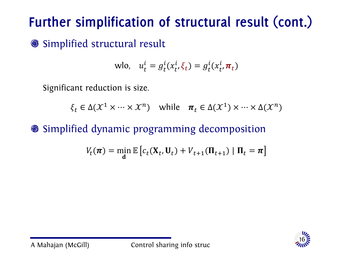# **Further simplification of structural result (cont.)**

Simplified structural result

$$
wlo, \t u_t^i = g_t^i(x_t^i, \xi_t) = g_t^i(x_t^i, \pi_t)
$$

Significant reduction is size.

 $\xi_t \in \Delta(\mathcal{X}^1 \times \cdots \times \mathcal{X}^n)$  while  $\pi_t \in \Delta(\mathcal{X}^1) \times \cdots \times \Delta(\mathcal{X}^n)$ 

#### Simplified dynamic programming decomposition

$$
V_t(\boldsymbol{\pi}) = \min_{\mathbf{d}} \mathbb{E}\left[c_t(\mathbf{X}_t, \mathbf{U}_t) + V_{t+1}(\mathbf{\Pi}_{t+1}) \mid \mathbf{\Pi}_t = \boldsymbol{\pi}\right]
$$

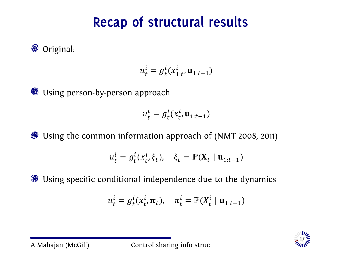# **Recap of structural results**

**■** Original:

$$
u_t^i = g_t^i(x_{1:t}^i, \mathbf{u}_{1:t-1})
$$

**O** Using person-by-person approach

$$
u_t^i = g_t^i(x_t^i, \mathbf{u}_{1:t-1})
$$

Using the common information approach of (NMT 2008, 2011)

$$
u_t^i = g_t^i(x_t^i, \xi_t), \quad \xi_t = \mathbb{P}(\mathbf{X}_t \mid \mathbf{u}_{1:t-1})
$$

Using specific conditional independence due to the dynamics

$$
u_t^i = g_t^i(x_t^i, \boldsymbol{\pi}_t), \quad \pi_t^i = \mathbb{P}(X_t^i \mid \mathbf{u}_{1:t-1})
$$

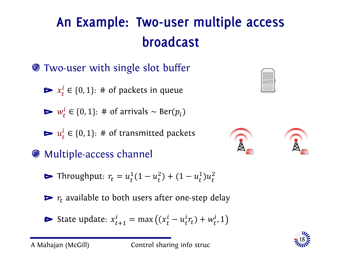- Two-user with single slot buffer
	- $x_t^i \in \{0, 1\}$ : # of packets in queue
	- $w_t^l$  ∈ {0, 1}: # of arrivals ~ Ber( $p_i$ )
	- $u_t^l \in \{0, 1\}$ : # of transmitted packets
- Multiple-access channel
	- Throughput:  $r_t = u_t^1(1 u_t^2) + (1 u_t^1)u_t^2$
	- $\blacktriangleright$   $r_t$  available to both users after one-step delay
	- State update:  $x_{t+1}^i = \max((x_t^i u_t^i r_t) + w_t^i, 1)$





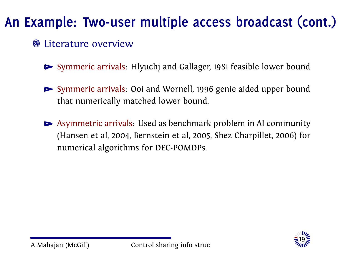#### **S** Literature overview

- Symmeric arrivals: Hlyuchj and Gallager, 1981 feasible lower bound
- Symmeric arrivals: Ooi and Wornell, 1996 genie aided upper bound that numerically matched lower bound.
- Asymmetric arrivals: Used as benchmark problem in AI community (Hansen et al, 2004, Bernstein et al, 2005, Shez Charpillet, 2006) for numerical algorithms for DEC-POMDPs.

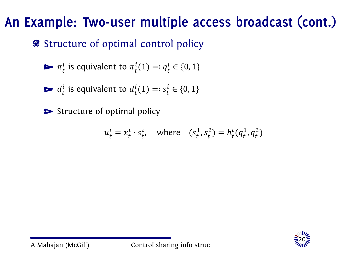#### ● Structure of optimal control policy

$$
\blacktriangleright \pi_t^i
$$
 is equivalent to  $\pi_t^i(1) =: q_t^i \in \{0, 1\}$ 

$$
\blacktriangleright d_t^i
$$
 is equivalent to  $d_t^i(1) =: s_t^i \in \{0, 1\}$ 

 $\triangleright$  Structure of optimal policy

$$
u_t^i = x_t^i \cdot s_t^i, \quad \text{where} \quad (s_t^1, s_t^2) = h_t^i(q_t^1, q_t^2)
$$

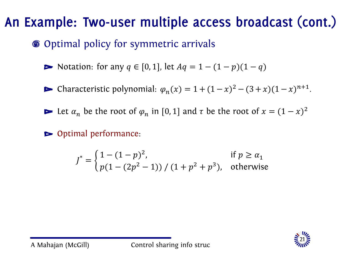#### Optimal policy for symmetric arrivals

 $\triangleright$  Notation: for any  $q \in [0, 1]$ , let  $Aq = 1 - (1 - p)(1 - q)$ 

Characteristic polynomial:  $\varphi_n(x) = 1 + (1 - x)^2 - (3 + x)(1 - x)^{n+1}$ .

Let  $\alpha_n$  be the root of  $\varphi_n$  in [0, 1] and  $\tau$  be the root of  $x = (1 - x)^2$ 

Optimal performance:

$$
J^* = \begin{cases} 1 - (1 - p)^2, & \text{if } p \ge \alpha_1 \\ p(1 - (2p^2 - 1)) / (1 + p^2 + p^3), & \text{otherwise} \end{cases}
$$

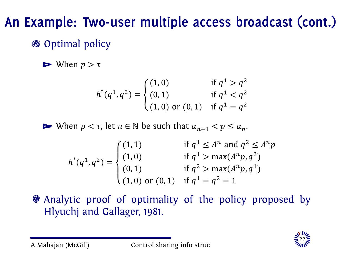#### **S** Optimal policy

 $\blacktriangleright$  When  $p > \tau$ 

$$
h^*(q^1, q^2) = \begin{cases} (1,0) & \text{if } q^1 > q^2 \\ (0,1) & \text{if } q^1 < q^2 \\ (1,0) \text{ or } (0,1) & \text{if } q^1 = q^2 \end{cases}
$$

When  $p < \tau$ , let  $n \in \mathbb{N}$  be such that  $\alpha_{n+1} < p \leq \alpha_n$ .

$$
h^*(q^1, q^2) = \begin{cases} (1, 1) & \text{if } q^1 \le A^n \text{ and } q^2 \le A^n p \\ (1, 0) & \text{if } q^1 > \max(A^n p, q^2) \\ (0, 1) & \text{if } q^2 > \max(A^n p, q^1) \\ (1, 0) \text{ or } (0, 1) & \text{if } q^1 = q^2 = 1 \end{cases}
$$

Analytic proof of optimality of the policy proposed by Hlyuchj and Gallager, 1981.